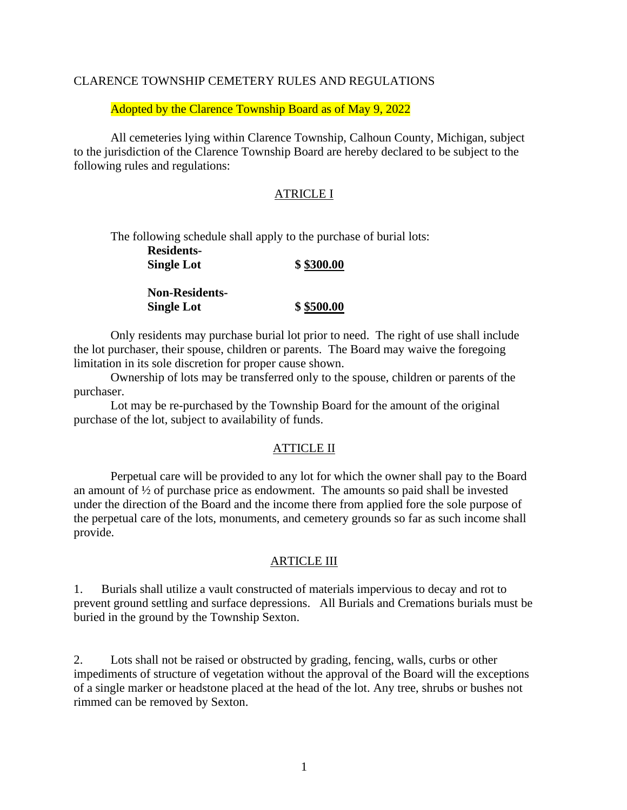## CLARENCE TOWNSHIP CEMETERY RULES AND REGULATIONS

Adopted by the Clarence Township Board as of May 9, 2022

All cemeteries lying within Clarence Township, Calhoun County, Michigan, subject to the jurisdiction of the Clarence Township Board are hereby declared to be subject to the following rules and regulations:

# ATRICLE I

The following schedule shall apply to the purchase of burial lots: **Residents-Single Lot \$ \$300.00**

> **Non-Residents-Single Lot \$ \$500.00**

Only residents may purchase burial lot prior to need. The right of use shall include the lot purchaser, their spouse, children or parents. The Board may waive the foregoing limitation in its sole discretion for proper cause shown.

Ownership of lots may be transferred only to the spouse, children or parents of the purchaser.

Lot may be re-purchased by the Township Board for the amount of the original purchase of the lot, subject to availability of funds.

## ATTICLE II

Perpetual care will be provided to any lot for which the owner shall pay to the Board an amount of ½ of purchase price as endowment. The amounts so paid shall be invested under the direction of the Board and the income there from applied fore the sole purpose of the perpetual care of the lots, monuments, and cemetery grounds so far as such income shall provide.

## ARTICLE III

1. Burials shall utilize a vault constructed of materials impervious to decay and rot to prevent ground settling and surface depressions. All Burials and Cremations burials must be buried in the ground by the Township Sexton.

2. Lots shall not be raised or obstructed by grading, fencing, walls, curbs or other impediments of structure of vegetation without the approval of the Board will the exceptions of a single marker or headstone placed at the head of the lot. Any tree, shrubs or bushes not rimmed can be removed by Sexton.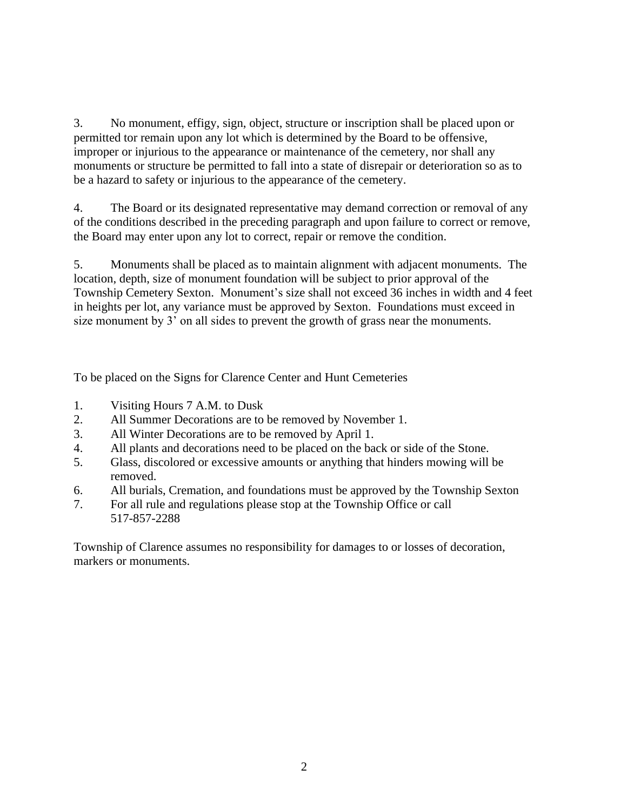3. No monument, effigy, sign, object, structure or inscription shall be placed upon or permitted tor remain upon any lot which is determined by the Board to be offensive, improper or injurious to the appearance or maintenance of the cemetery, nor shall any monuments or structure be permitted to fall into a state of disrepair or deterioration so as to be a hazard to safety or injurious to the appearance of the cemetery.

4. The Board or its designated representative may demand correction or removal of any of the conditions described in the preceding paragraph and upon failure to correct or remove, the Board may enter upon any lot to correct, repair or remove the condition.

5. Monuments shall be placed as to maintain alignment with adjacent monuments. The location, depth, size of monument foundation will be subject to prior approval of the Township Cemetery Sexton. Monument's size shall not exceed 36 inches in width and 4 feet in heights per lot, any variance must be approved by Sexton. Foundations must exceed in size monument by 3' on all sides to prevent the growth of grass near the monuments.

To be placed on the Signs for Clarence Center and Hunt Cemeteries

- 1. Visiting Hours 7 A.M. to Dusk
- 2. All Summer Decorations are to be removed by November 1.
- 3. All Winter Decorations are to be removed by April 1.
- 4. All plants and decorations need to be placed on the back or side of the Stone.
- 5. Glass, discolored or excessive amounts or anything that hinders mowing will be removed.
- 6. All burials, Cremation, and foundations must be approved by the Township Sexton
- 7. For all rule and regulations please stop at the Township Office or call 517-857-2288

Township of Clarence assumes no responsibility for damages to or losses of decoration, markers or monuments.